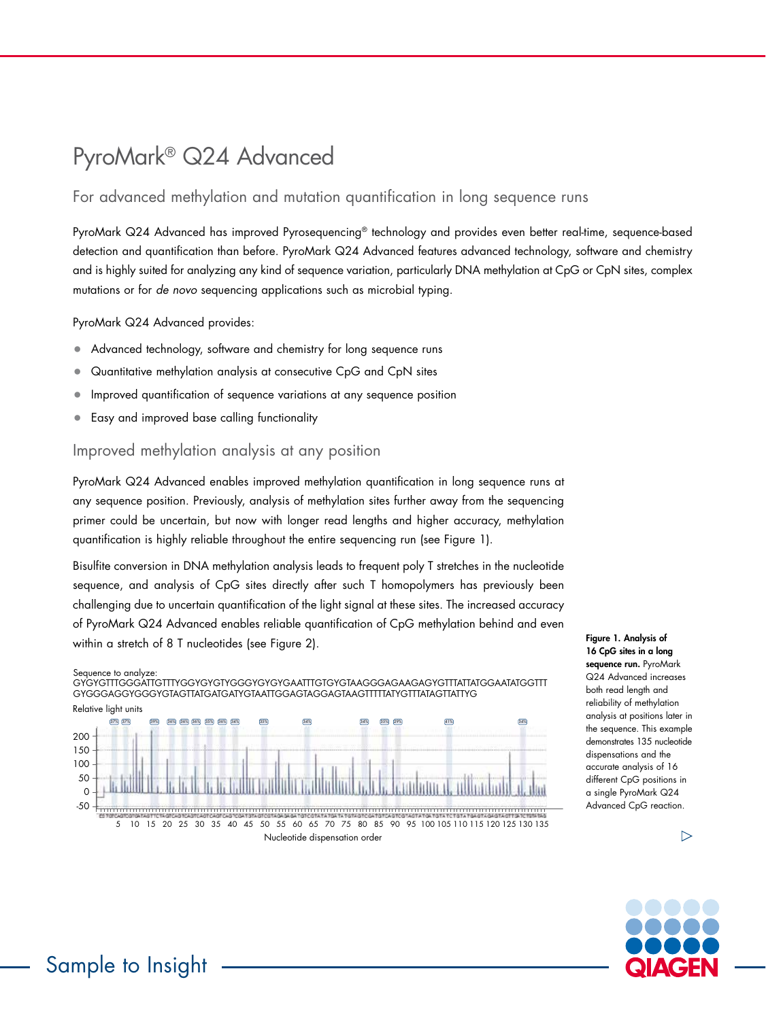# PyroMark® Q24 Advanced

## For advanced methylation and mutation quantification in long sequence runs

PyroMark Q24 Advanced has improved Pyrosequencing® technology and provides even better real-time, sequence-based detection and quantification than before. PyroMark Q24 Advanced features advanced technology, software and chemistry and is highly suited for analyzing any kind of sequence variation, particularly DNA methylation at CpG or CpN sites, complex mutations or for *de novo* sequencing applications such as microbial typing.

PyroMark Q24 Advanced provides:

- Advanced technology, software and chemistry for long sequence runs
- Quantitative methylation analysis at consecutive CpG and CpN sites
- Improved quantification of sequence variations at any sequence position
- Easy and improved base calling functionality

#### Improved methylation analysis at any position

PyroMark Q24 Advanced enables improved methylation quantification in long sequence runs at any sequence position. Previously, analysis of methylation sites further away from the sequencing primer could be uncertain, but now with longer read lengths and higher accuracy, methylation quantification is highly reliable throughout the entire sequencing run (see Figure 1).

Bisulfite conversion in DNA methylation analysis leads to frequent poly T stretches in the nucleotide sequence, and analysis of CpG sites directly after such T homopolymers has previously been challenging due to uncertain quantification of the light signal at these sites. The increased accuracy of PyroMark Q24 Advanced enables reliable quantification of CpG methylation behind and even within a stretch of 8 T nucleotides (see Figure 2).

#### Sequence to analyze:

GYGYGTTTGGGATTGTTTYGGYGYGTYGGGYGYGYGAATTTGTGYGTAAGGGAGAAGAGYGTTTATTATGGAATATGGTTT GYGGGAGGYGGGYGTAGTTATGATGATYGTAATTGGAGTAGGAGTAAGTTTTTATYGTTTATAGTTATTYG



Figure 1. Analysis of 16 CpG sites in a long sequence run. PyroMark Q24 Advanced increases both read length and reliability of methylation analysis at positions later in the sequence. This example demonstrates 135 nucleotide dispensations and the accurate analysis of 16 different CpG positions in a single PyroMark Q24 Advanced CpG reaction.



 $\triangleright$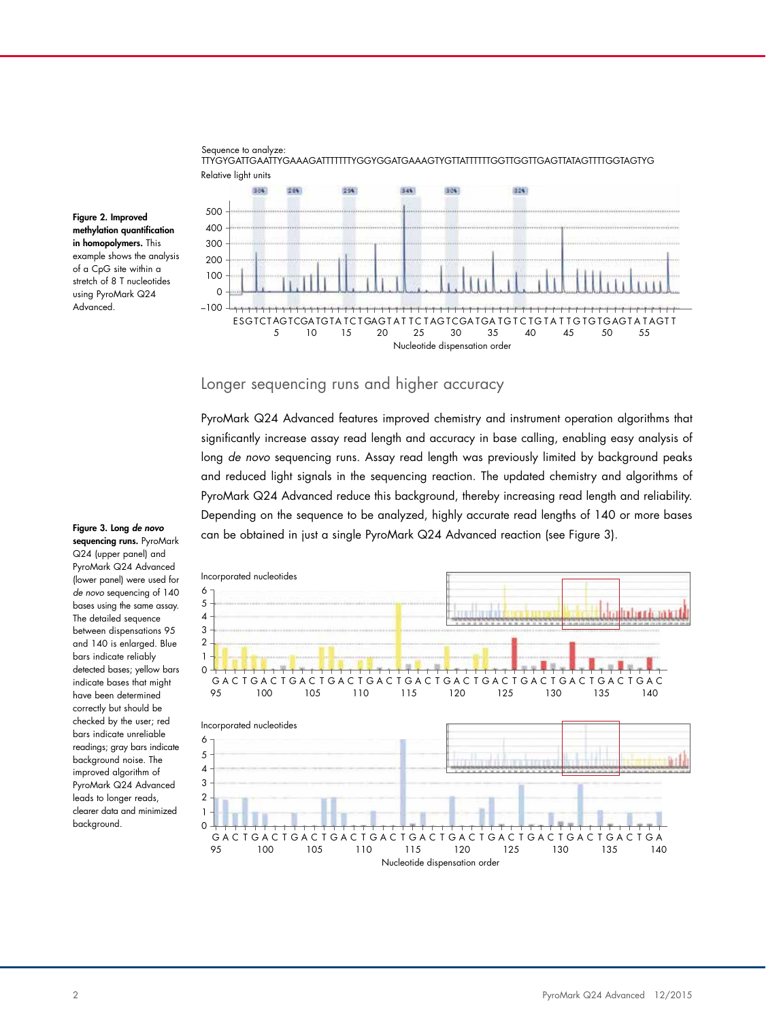



Figure 2. Improved methylation quantification in homopolymers. This example shows the analysis of a CpG site within a stretch of 8 T nucleotides using PyroMark Q24 Advanced.

#### Longer sequencing runs and higher accuracy

PyroMark Q24 Advanced features improved chemistry and instrument operation algorithms that significantly increase assay read length and accuracy in base calling, enabling easy analysis of long *de novo* sequencing runs. Assay read length was previously limited by background peaks and reduced light signals in the sequencing reaction. The updated chemistry and algorithms of PyroMark Q24 Advanced reduce this background, thereby increasing read length and reliability. Depending on the sequence to be analyzed, highly accurate read lengths of 140 or more bases can be obtained in just a single PyroMark Q24 Advanced reaction (see Figure 3).



Figure 3. Long *de novo* sequencing runs. PyroMark Q24 (upper panel) and PyroMark Q24 Advanced (lower panel) were used for *de novo* sequencing of 140 bases using the same assay. The detailed sequence between dispensations 95 and 140 is enlarged. Blue bars indicate reliably detected bases; yellow bars indicate bases that might have been determined correctly but should be checked by the user; red bars indicate unreliable readings; gray bars indicate background noise. The improved algorithm of PyroMark Q24 Advanced leads to longer reads, clearer data and minimized background.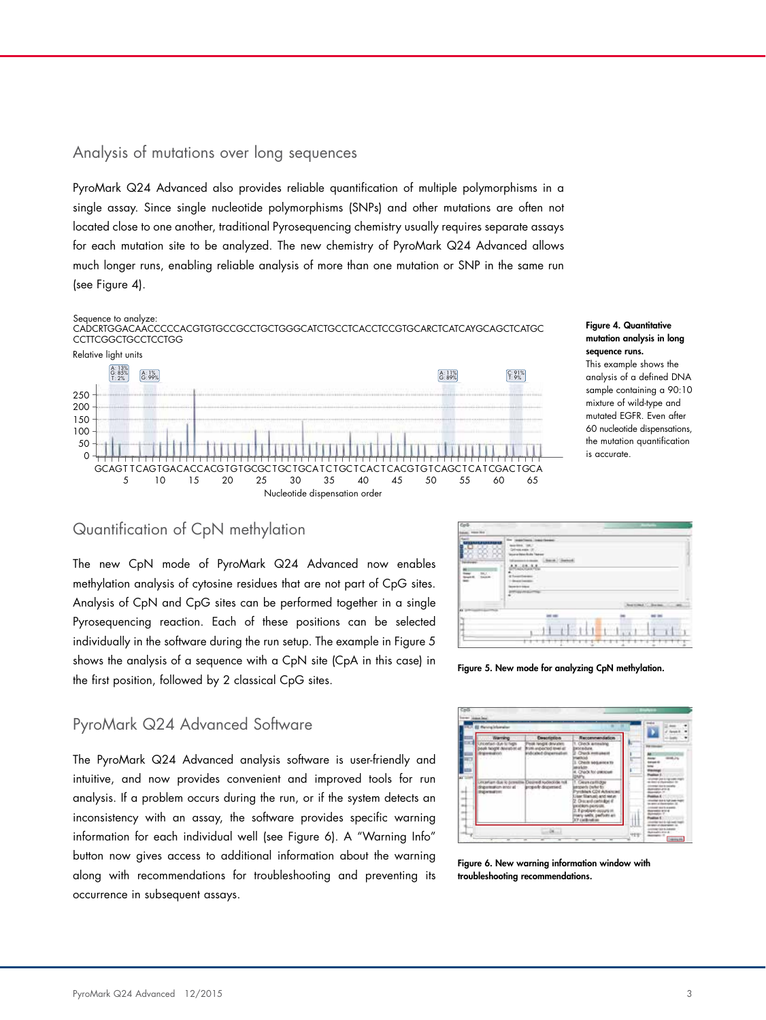### Analysis of mutations over long sequences

PyroMark Q24 Advanced also provides reliable quantification of multiple polymorphisms in a single assay. Since single nucleotide polymorphisms (SNPs) and other mutations are often not located close to one another, traditional Pyrosequencing chemistry usually requires separate assays for each mutation site to be analyzed. The new chemistry of PyroMark Q24 Advanced allows much longer runs, enabling reliable analysis of more than one mutation or SNP in the same run (see Figure 4).



Figure 4. Quantitative mutation analysis in long sequence runs.

This example shows the analysis of a defined DNA sample containing a 90:10 mixture of wild-type and mutated EGFR. Even after 60 nucleotide dispensations, the mutation quantification is accurate.

#### Quantification of CpN methylation

The new CpN mode of PyroMark Q24 Advanced now enables methylation analysis of cytosine residues that are not part of CpG sites. Analysis of CpN and CpG sites can be performed together in a single Pyrosequencing reaction. Each of these positions can be selected individually in the software during the run setup. The example in Figure 5 shows the analysis of a sequence with a CpN site (CpA in this case) in the first position, followed by 2 classical CpG sites.



Figure 5. New mode for analyzing CpN methylation.

# PyroMark Q24 Advanced Software

The PyroMark Q24 Advanced analysis software is user-friendly and intuitive, and now provides convenient and improved tools for run analysis. If a problem occurs during the run, or if the system detects an inconsistency with an assay, the software provides specific warning information for each individual well (see Figure 6). A "Warning Info" button now gives access to additional information about the warning along with recommendations for troubleshooting and preventing its occurrence in subsequent assays.



Figure 6. New warning information window with troubleshooting recommendations.